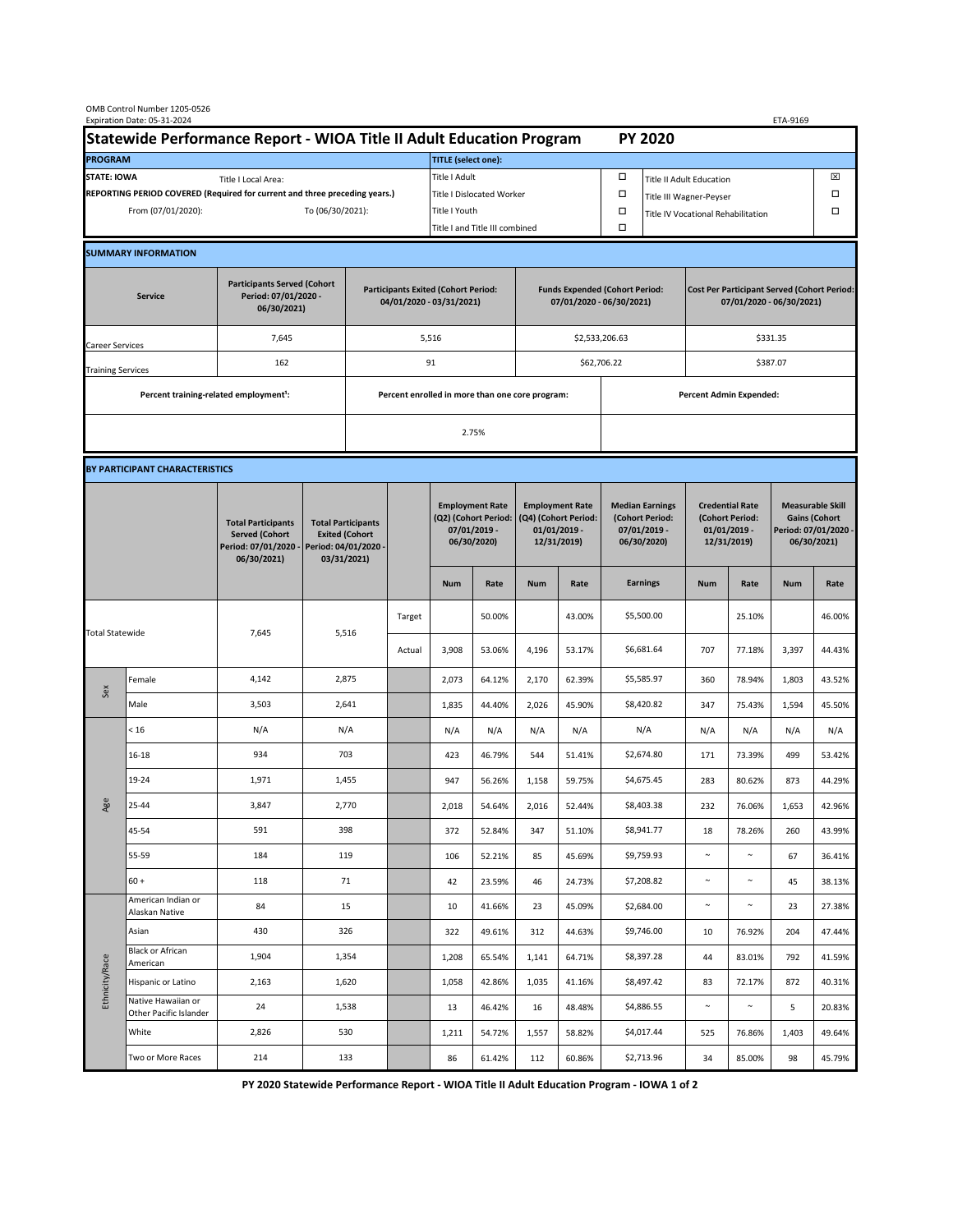|                                                                                             | OMB Control Number 1205-0526<br>Expiration Date: 05-31-2024 |                                                                                           |                                                                                           |       |                                                 |                                                                               |                                                                   |                                                                                 |                  |                                                                            |                                                                                |                                                                            |                  | ETA-9169                                                                               |                  |  |
|---------------------------------------------------------------------------------------------|-------------------------------------------------------------|-------------------------------------------------------------------------------------------|-------------------------------------------------------------------------------------------|-------|-------------------------------------------------|-------------------------------------------------------------------------------|-------------------------------------------------------------------|---------------------------------------------------------------------------------|------------------|----------------------------------------------------------------------------|--------------------------------------------------------------------------------|----------------------------------------------------------------------------|------------------|----------------------------------------------------------------------------------------|------------------|--|
| Statewide Performance Report - WIOA Title II Adult Education Program                        |                                                             |                                                                                           |                                                                                           |       |                                                 |                                                                               |                                                                   |                                                                                 |                  |                                                                            | <b>PY 2020</b>                                                                 |                                                                            |                  |                                                                                        |                  |  |
| <b>PROGRAM</b>                                                                              |                                                             |                                                                                           |                                                                                           |       |                                                 | <b>TITLE (select one):</b>                                                    |                                                                   |                                                                                 |                  |                                                                            |                                                                                |                                                                            |                  |                                                                                        |                  |  |
| <b>STATE: IOWA</b><br>Title I Local Area:                                                   |                                                             |                                                                                           |                                                                                           |       |                                                 | Title I Adult                                                                 |                                                                   |                                                                                 |                  | □<br><b>Title II Adult Education</b>                                       |                                                                                |                                                                            |                  |                                                                                        | ⊠                |  |
| REPORTING PERIOD COVERED (Required for current and three preceding years.)                  |                                                             |                                                                                           |                                                                                           |       | <b>Title I Dislocated Worker</b>                |                                                                               |                                                                   |                                                                                 | $\Box$           | $\Box$<br>Title III Wagner-Peyser                                          |                                                                                |                                                                            |                  |                                                                                        |                  |  |
| From (07/01/2020):<br>To (06/30/2021):                                                      |                                                             |                                                                                           |                                                                                           |       | Title I Youth                                   |                                                                               |                                                                   |                                                                                 | $\Box$           | $\Box$<br>Title IV Vocational Rehabilitation                               |                                                                                |                                                                            |                  |                                                                                        |                  |  |
|                                                                                             |                                                             |                                                                                           |                                                                                           |       |                                                 | Title I and Title III combined                                                |                                                                   |                                                                                 |                  |                                                                            |                                                                                |                                                                            |                  |                                                                                        |                  |  |
|                                                                                             | <b>SUMMARY INFORMATION</b>                                  |                                                                                           |                                                                                           |       |                                                 |                                                                               |                                                                   |                                                                                 |                  |                                                                            |                                                                                |                                                                            |                  |                                                                                        |                  |  |
| <b>Participants Served (Cohort</b><br>Period: 07/01/2020 -<br><b>Service</b><br>06/30/2021) |                                                             |                                                                                           | <b>Participants Exited (Cohort Period:</b><br>04/01/2020 - 03/31/2021)                    |       |                                                 |                                                                               | <b>Funds Expended (Cohort Period:</b><br>07/01/2020 - 06/30/2021) |                                                                                 |                  |                                                                            | <b>Cost Per Participant Served (Cohort Period:</b><br>07/01/2020 - 06/30/2021) |                                                                            |                  |                                                                                        |                  |  |
| Career Services                                                                             |                                                             | 7,645                                                                                     |                                                                                           |       | 5,516                                           |                                                                               |                                                                   |                                                                                 | \$2,533,206.63   |                                                                            | \$331.35                                                                       |                                                                            |                  |                                                                                        |                  |  |
| <b>Training Services</b>                                                                    |                                                             | 162                                                                                       | 91                                                                                        |       |                                                 |                                                                               |                                                                   |                                                                                 | \$62,706.22      |                                                                            | \$387.07                                                                       |                                                                            |                  |                                                                                        |                  |  |
|                                                                                             | Percent training-related employment <sup>1</sup> :          |                                                                                           |                                                                                           |       | Percent enrolled in more than one core program: |                                                                               |                                                                   |                                                                                 |                  | <b>Percent Admin Expended:</b>                                             |                                                                                |                                                                            |                  |                                                                                        |                  |  |
|                                                                                             |                                                             |                                                                                           |                                                                                           | 2.75% |                                                 |                                                                               |                                                                   |                                                                                 |                  |                                                                            |                                                                                |                                                                            |                  |                                                                                        |                  |  |
|                                                                                             |                                                             |                                                                                           |                                                                                           |       |                                                 |                                                                               |                                                                   |                                                                                 |                  |                                                                            |                                                                                |                                                                            |                  |                                                                                        |                  |  |
|                                                                                             | BY PARTICIPANT CHARACTERISTICS                              |                                                                                           |                                                                                           |       |                                                 |                                                                               |                                                                   |                                                                                 |                  |                                                                            |                                                                                |                                                                            |                  |                                                                                        |                  |  |
|                                                                                             |                                                             | <b>Total Participants</b><br><b>Served (Cohort</b><br>Period: 07/01/2020 -<br>06/30/2021) | <b>Total Participants</b><br><b>Exited (Cohort</b><br>Period: 04/01/2020 -<br>03/31/2021) |       |                                                 | <b>Employment Rate</b><br>(Q2) (Cohort Period:<br>07/01/2019 -<br>06/30/2020) |                                                                   | <b>Employment Rate</b><br>(Q4) (Cohort Period:<br>$01/01/2019$ -<br>12/31/2019) |                  | <b>Median Earnings</b><br>(Cohort Period:<br>$07/01/2019 -$<br>06/30/2020) |                                                                                | <b>Credential Rate</b><br>(Cohort Period:<br>$01/01/2019 -$<br>12/31/2019) |                  | <b>Measurable Skill</b><br><b>Gains (Cohort</b><br>Period: 07/01/2020 -<br>06/30/2021) |                  |  |
|                                                                                             |                                                             |                                                                                           |                                                                                           |       |                                                 | <b>Num</b>                                                                    | Rate                                                              | <b>Num</b>                                                                      | Rate             |                                                                            | <b>Earnings</b>                                                                | <b>Num</b>                                                                 | Rate             | <b>Num</b>                                                                             | Rate             |  |
| <b>Total Statewide</b>                                                                      |                                                             | 7,645                                                                                     | 5,516                                                                                     |       | Target                                          |                                                                               | 50.00%                                                            |                                                                                 | 43.00%           |                                                                            | \$5,500.00                                                                     |                                                                            | 25.10%           |                                                                                        | 46.00%           |  |
|                                                                                             |                                                             |                                                                                           |                                                                                           |       | Actual                                          | 3,908                                                                         | 53.06%                                                            | 4,196                                                                           | 53.17%           |                                                                            | \$6,681.64                                                                     | 707                                                                        | 77.18%           | 3,397                                                                                  | 44.43%           |  |
| Sex                                                                                         | Female                                                      | 4,142                                                                                     | 2,875                                                                                     |       |                                                 | 2,073                                                                         | 64.12%                                                            | 2,170                                                                           | 62.39%           |                                                                            | \$5,585.97                                                                     | 360                                                                        | 78.94%           | 1,803                                                                                  | 43.52%           |  |
|                                                                                             | Male                                                        | 3,503                                                                                     | 2,641                                                                                     |       |                                                 | 1,835                                                                         | 44.40%                                                            | 2,026                                                                           | 45.90%           |                                                                            | \$8,420.82                                                                     | 347                                                                        | 75.43%           | 1,594                                                                                  | 45.50%           |  |
|                                                                                             | < 16                                                        | N/A                                                                                       | N/A                                                                                       |       |                                                 | N/A                                                                           | N/A                                                               | N/A                                                                             | N/A              |                                                                            | N/A                                                                            | N/A                                                                        | N/A              | N/A                                                                                    | N/A              |  |
|                                                                                             | $16 - 18$                                                   | 934                                                                                       | 703                                                                                       |       |                                                 | 423                                                                           | 46.79%                                                            | 544                                                                             | 51.41%           |                                                                            | \$2,674.80                                                                     | 171                                                                        | 73.39%           | 499                                                                                    | 53.42%           |  |
| Age                                                                                         | 19-24                                                       | 1,971                                                                                     | 1,455                                                                                     |       |                                                 | 947                                                                           | 56.26%                                                            | 1,158                                                                           | 59.75%           |                                                                            | \$4,675.45                                                                     | 283                                                                        | 80.62%           | 873                                                                                    | 44.29%           |  |
|                                                                                             | 25-44                                                       | 3,847                                                                                     | 2,770                                                                                     |       |                                                 | 2,018                                                                         | 54.64%                                                            | 2,016                                                                           | 52.44%           |                                                                            | \$8,403.38                                                                     | 232                                                                        | 76.06%           | 1,653                                                                                  | 42.96%           |  |
|                                                                                             | 45-54                                                       | 591                                                                                       | 398                                                                                       |       |                                                 | 372                                                                           | 52.84%                                                            | 347                                                                             | 51.10%           |                                                                            | \$8,941.77                                                                     | 18                                                                         | 78.26%           | 260                                                                                    | 43.99%           |  |
|                                                                                             | 55-59                                                       | 184                                                                                       | 119                                                                                       |       |                                                 | 106                                                                           | 52.21%                                                            | 85                                                                              | 45.69%           |                                                                            | \$9,759.93                                                                     | $\sim$                                                                     | $\sim$           | 67                                                                                     | 36.41%           |  |
|                                                                                             | $60 +$<br>American Indian or                                | 118                                                                                       | 71                                                                                        |       |                                                 | 42                                                                            | 23.59%                                                            | 46                                                                              | 24.73%           |                                                                            | \$7,208.82                                                                     | $\sim$                                                                     | $\sim$           | 45                                                                                     | 38.13%           |  |
| Ethnicity/Race                                                                              | Alaskan Native                                              | 84                                                                                        | 15                                                                                        |       |                                                 | 10                                                                            | 41.66%                                                            | 23                                                                              | 45.09%           |                                                                            | \$2,684.00                                                                     | $\sim$                                                                     | $\sim$           | 23                                                                                     | 27.38%           |  |
|                                                                                             | Asian<br><b>Black or African</b>                            | 430                                                                                       | 326                                                                                       |       |                                                 | 322                                                                           | 49.61%                                                            | 312                                                                             | 44.63%           |                                                                            | \$9,746.00                                                                     | 10                                                                         | 76.92%           | 204                                                                                    | 47.44%           |  |
|                                                                                             | American                                                    | 1,904                                                                                     | 1,354                                                                                     |       |                                                 | 1,208                                                                         | 65.54%                                                            | 1,141                                                                           | 64.71%           |                                                                            | \$8,397.28                                                                     | 44                                                                         | 83.01%           | 792                                                                                    | 41.59%           |  |
|                                                                                             | Hispanic or Latino<br>Native Hawaiian or                    | 2,163<br>24                                                                               | 1,620<br>1,538                                                                            |       |                                                 | 1,058                                                                         | 42.86%                                                            | 1,035                                                                           | 41.16%           |                                                                            | \$8,497.42<br>\$4,886.55                                                       | 83<br>$\sim$                                                               | 72.17%<br>$\sim$ | 872<br>5                                                                               | 40.31%           |  |
|                                                                                             | Other Pacific Islander<br>White                             | 2,826                                                                                     | 530                                                                                       |       |                                                 | 13<br>1,211                                                                   | 46.42%<br>54.72%                                                  | 16<br>1,557                                                                     | 48.48%<br>58.82% |                                                                            | \$4,017.44                                                                     | 525                                                                        | 76.86%           | 1,403                                                                                  | 20.83%<br>49.64% |  |
|                                                                                             | Two or More Races                                           | 214                                                                                       | 133                                                                                       |       |                                                 | 86                                                                            | 61.42%                                                            | 112                                                                             | 60.86%           |                                                                            | \$2,713.96                                                                     | 34                                                                         | 85.00%           | 98                                                                                     | 45.79%           |  |
|                                                                                             |                                                             |                                                                                           |                                                                                           |       |                                                 |                                                                               |                                                                   |                                                                                 |                  |                                                                            |                                                                                |                                                                            |                  |                                                                                        |                  |  |

**PY 2020 Statewide Performance Report - WIOA Title II Adult Education Program - IOWA 1 of 2**